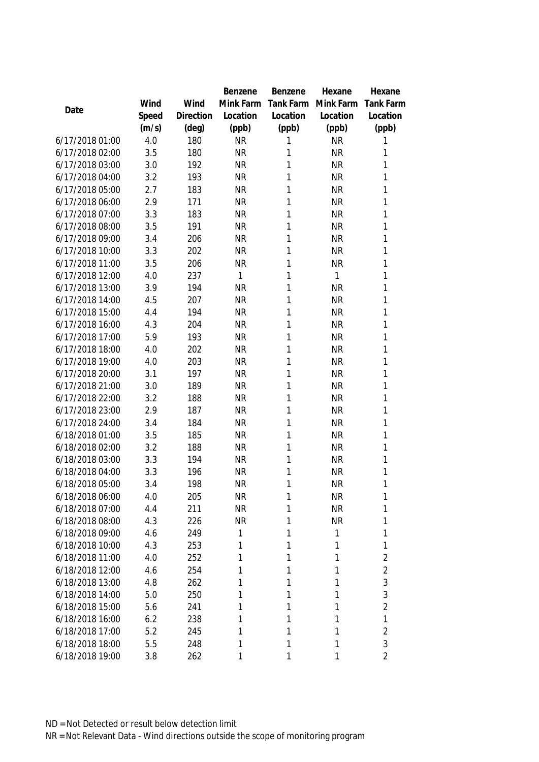|                 |       |                | Benzene   | Benzene   | Hexane    | Hexane           |
|-----------------|-------|----------------|-----------|-----------|-----------|------------------|
|                 | Wind  | Wind           | Mink Farm | Tank Farm | Mink Farm | <b>Tank Farm</b> |
| Date            | Speed | Direction      | Location  | Location  | Location  | Location         |
|                 | (m/s) | $(\text{deg})$ | (ppb)     | (ppb)     | (ppb)     | (ppb)            |
| 6/17/2018 01:00 | 4.0   | 180            | <b>NR</b> | 1         | <b>NR</b> | 1                |
| 6/17/2018 02:00 | 3.5   | 180            | <b>NR</b> | 1         | <b>NR</b> | 1                |
| 6/17/2018 03:00 | 3.0   | 192            | <b>NR</b> | 1         | <b>NR</b> | 1                |
| 6/17/2018 04:00 | 3.2   | 193            | <b>NR</b> | 1         | <b>NR</b> | 1                |
| 6/17/2018 05:00 | 2.7   | 183            | <b>NR</b> | 1         | <b>NR</b> | 1                |
| 6/17/2018 06:00 | 2.9   | 171            | <b>NR</b> | 1         | <b>NR</b> | 1                |
| 6/17/2018 07:00 | 3.3   | 183            | <b>NR</b> | 1         | <b>NR</b> | 1                |
| 6/17/2018 08:00 | 3.5   | 191            | <b>NR</b> | 1         | <b>NR</b> | 1                |
| 6/17/2018 09:00 | 3.4   | 206            | <b>NR</b> | 1         | <b>NR</b> | 1                |
| 6/17/2018 10:00 | 3.3   | 202            | <b>NR</b> | 1         | <b>NR</b> | 1                |
| 6/17/2018 11:00 | 3.5   | 206            | <b>NR</b> | 1         | <b>NR</b> | 1                |
| 6/17/2018 12:00 | 4.0   | 237            | 1         | 1         | 1         | 1                |
| 6/17/2018 13:00 | 3.9   | 194            | <b>NR</b> | 1         | <b>NR</b> | 1                |
| 6/17/2018 14:00 | 4.5   | 207            | <b>NR</b> | 1         | <b>NR</b> | 1                |
| 6/17/2018 15:00 | 4.4   | 194            | <b>NR</b> | 1         | <b>NR</b> | 1                |
| 6/17/2018 16:00 | 4.3   | 204            | <b>NR</b> | 1         | <b>NR</b> | 1                |
| 6/17/2018 17:00 | 5.9   | 193            | <b>NR</b> | 1         | <b>NR</b> | 1                |
| 6/17/2018 18:00 | 4.0   | 202            | <b>NR</b> | 1         | <b>NR</b> | 1                |
| 6/17/2018 19:00 | 4.0   | 203            | <b>NR</b> | 1         | <b>NR</b> | 1                |
| 6/17/2018 20:00 | 3.1   | 197            | <b>NR</b> | 1         | <b>NR</b> | 1                |
| 6/17/2018 21:00 | 3.0   | 189            | <b>NR</b> | 1         | <b>NR</b> | 1                |
| 6/17/2018 22:00 | 3.2   | 188            | <b>NR</b> | 1         | <b>NR</b> | 1                |
| 6/17/2018 23:00 | 2.9   | 187            | <b>NR</b> | 1         | <b>NR</b> | 1                |
| 6/17/2018 24:00 | 3.4   | 184            | <b>NR</b> | 1         | <b>NR</b> | 1                |
| 6/18/2018 01:00 | 3.5   | 185            | <b>NR</b> | 1         | <b>NR</b> | 1                |
| 6/18/2018 02:00 | 3.2   | 188            | <b>NR</b> | 1         | <b>NR</b> | 1                |
| 6/18/2018 03:00 | 3.3   | 194            | <b>NR</b> | 1         | <b>NR</b> | 1                |
| 6/18/2018 04:00 | 3.3   | 196            | <b>NR</b> | 1         | <b>NR</b> | 1                |
| 6/18/2018 05:00 | 3.4   | 198            | <b>NR</b> | 1         | <b>NR</b> | 1                |
| 6/18/2018 06:00 | 4.0   | 205            | <b>NR</b> | 1         | <b>NR</b> | 1                |
| 6/18/2018 07:00 | 4.4   | 211            | <b>NR</b> | 1         | <b>NR</b> | 1                |
| 6/18/2018 08:00 | 4.3   | 226            | <b>NR</b> | 1         | <b>NR</b> | 1                |
| 6/18/2018 09:00 | 4.6   | 249            | 1         | 1         | 1         | 1                |
| 6/18/2018 10:00 | 4.3   | 253            | 1         | 1         | 1         | 1                |
| 6/18/2018 11:00 | 4.0   | 252            | 1         | 1         | 1         | $\overline{2}$   |
| 6/18/2018 12:00 | 4.6   | 254            | 1         | 1         | 1         | $\overline{2}$   |
| 6/18/2018 13:00 | 4.8   | 262            | 1         | 1         | 1         | 3                |
| 6/18/2018 14:00 | 5.0   | 250            | 1         | 1         | 1         | 3                |
| 6/18/2018 15:00 | 5.6   | 241            | 1         | 1         | 1         | $\overline{2}$   |
| 6/18/2018 16:00 | 6.2   | 238            | 1         | 1         | 1         | 1                |
| 6/18/2018 17:00 | 5.2   | 245            | 1         | 1         | 1         | $\overline{2}$   |
| 6/18/2018 18:00 | 5.5   | 248            | 1         | 1         | 1         | 3                |
| 6/18/2018 19:00 | 3.8   | 262            | 1         | 1         | 1         | $\overline{2}$   |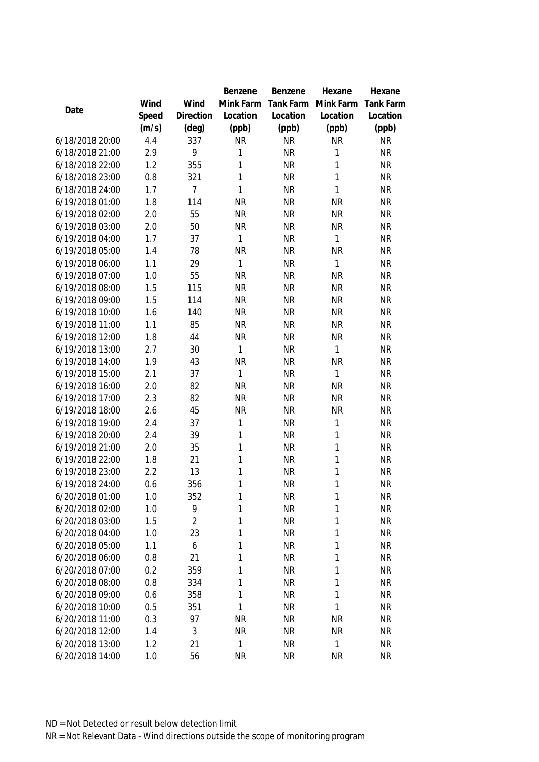|                                    |            |                | Benzene   | Benzene                | Hexane       | Hexane                 |
|------------------------------------|------------|----------------|-----------|------------------------|--------------|------------------------|
|                                    | Wind       | Wind           | Mink Farm | Tank Farm              | Mink Farm    | <b>Tank Farm</b>       |
| Date                               | Speed      | Direction      | Location  | Location               | Location     | Location               |
|                                    | (m/s)      | $(\text{deg})$ | (ppb)     | (ppb)                  | (ppb)        | (ppb)                  |
| 6/18/2018 20:00                    | 4.4        | 337            | <b>NR</b> | <b>NR</b>              | <b>NR</b>    | <b>NR</b>              |
| 6/18/2018 21:00                    | 2.9        | 9              | 1         | <b>NR</b>              | 1            | <b>NR</b>              |
| 6/18/2018 22:00                    | 1.2        | 355            | 1         | <b>NR</b>              | $\mathbf{1}$ | <b>NR</b>              |
| 6/18/2018 23:00                    | 0.8        | 321            | 1         | <b>NR</b>              | $\mathbf{1}$ | <b>NR</b>              |
| 6/18/2018 24:00                    | 1.7        | $\overline{7}$ | 1         | <b>NR</b>              | $\mathbf{1}$ | <b>NR</b>              |
| 6/19/2018 01:00                    | 1.8        | 114            | <b>NR</b> | <b>NR</b>              | <b>NR</b>    | <b>NR</b>              |
| 6/19/2018 02:00                    | 2.0        | 55             | <b>NR</b> | <b>NR</b>              | <b>NR</b>    | <b>NR</b>              |
| 6/19/2018 03:00                    | 2.0        | 50             | <b>NR</b> | <b>NR</b>              | <b>NR</b>    | <b>NR</b>              |
| 6/19/2018 04:00                    | 1.7        | 37             | 1         | <b>NR</b>              | 1            | <b>NR</b>              |
| 6/19/2018 05:00                    | 1.4        | 78             | <b>NR</b> | <b>NR</b>              | <b>NR</b>    | <b>NR</b>              |
| 6/19/2018 06:00                    | 1.1        | 29             | 1         | <b>NR</b>              | $\mathbf{1}$ | <b>NR</b>              |
| 6/19/2018 07:00                    | 1.0        | 55             | <b>NR</b> | <b>NR</b>              | <b>NR</b>    | <b>NR</b>              |
| 6/19/2018 08:00                    | 1.5        | 115            | <b>NR</b> | <b>NR</b>              | <b>NR</b>    | <b>NR</b>              |
| 6/19/2018 09:00                    | 1.5        | 114            | <b>NR</b> | <b>NR</b>              | <b>NR</b>    | <b>NR</b>              |
| 6/19/2018 10:00                    | 1.6        | 140            | <b>NR</b> | <b>NR</b>              | <b>NR</b>    | <b>NR</b>              |
| 6/19/2018 11:00                    | 1.1        | 85             | <b>NR</b> | <b>NR</b>              | <b>NR</b>    | <b>NR</b>              |
| 6/19/2018 12:00                    | 1.8        | 44             | <b>NR</b> | <b>NR</b>              | <b>NR</b>    | <b>NR</b>              |
| 6/19/2018 13:00                    | 2.7        | 30             | 1         | <b>NR</b>              | $\mathbf{1}$ | <b>NR</b>              |
| 6/19/2018 14:00                    | 1.9        | 43             | <b>NR</b> | <b>NR</b>              | <b>NR</b>    | <b>NR</b>              |
| 6/19/2018 15:00                    | 2.1        | 37             | 1         | <b>NR</b>              | $\mathbf{1}$ | <b>NR</b>              |
| 6/19/2018 16:00                    | 2.0        | 82             | <b>NR</b> | <b>NR</b>              | <b>NR</b>    | <b>NR</b>              |
| 6/19/2018 17:00                    | 2.3        | 82             | <b>NR</b> | <b>NR</b>              | <b>NR</b>    | <b>NR</b>              |
| 6/19/2018 18:00                    | 2.6        | 45             | <b>NR</b> | <b>NR</b>              | <b>NR</b>    | <b>NR</b>              |
| 6/19/2018 19:00                    | 2.4        | 37             | 1         | <b>NR</b>              | $\mathbf{1}$ | <b>NR</b>              |
| 6/19/2018 20:00                    | 2.4        | 39             | 1         | <b>NR</b>              | 1            | <b>NR</b>              |
| 6/19/2018 21:00                    | 2.0        | 35             | 1         | <b>NR</b>              | $\mathbf{1}$ | <b>NR</b>              |
| 6/19/2018 22:00                    | 1.8        | 21             | 1         | <b>NR</b>              | 1            | <b>NR</b>              |
| 6/19/2018 23:00                    | 2.2        | 13             | 1         | <b>NR</b>              | $\mathbf{1}$ | <b>NR</b>              |
| 6/19/2018 24:00                    | 0.6        | 356            | 1         | <b>NR</b>              | $\mathbf{1}$ | <b>NR</b>              |
| 6/20/2018 01:00                    | 1.0        | 352            | 1         | <b>NR</b>              | 1            | <b>NR</b>              |
| 6/20/2018 02:00                    | 1.0        | 9              | 1         | <b>NR</b>              | 1            | <b>NR</b>              |
| 6/20/2018 03:00                    | 1.5        | $\overline{2}$ | 1         | <b>NR</b>              | 1            | <b>NR</b>              |
| 6/20/2018 04:00                    | 1.0        | 23             | 1         | <b>NR</b>              | 1            | <b>NR</b>              |
| 6/20/2018 05:00                    | 1.1        | 6              | 1         | <b>NR</b>              | 1            | <b>NR</b>              |
| 6/20/2018 06:00                    | 0.8        | 21             | 1         | <b>NR</b>              | 1            | <b>NR</b>              |
| 6/20/2018 07:00<br>6/20/2018 08:00 | 0.2        | 359            | 1         | <b>NR</b>              | 1<br>1       | <b>NR</b>              |
| 6/20/2018 09:00                    | 0.8        | 334            | 1<br>1    | <b>NR</b><br><b>NR</b> | 1            | <b>NR</b><br><b>NR</b> |
| 6/20/2018 10:00                    | 0.6        | 358            | 1         | <b>NR</b>              | 1            |                        |
| 6/20/2018 11:00                    | 0.5<br>0.3 | 351<br>97      | <b>NR</b> | <b>NR</b>              | <b>NR</b>    | <b>NR</b><br><b>NR</b> |
| 6/20/2018 12:00                    | 1.4        | 3              | <b>NR</b> | <b>NR</b>              | <b>NR</b>    | <b>NR</b>              |
| 6/20/2018 13:00                    | 1.2        | 21             | 1         | <b>NR</b>              | $\mathbf{1}$ | <b>NR</b>              |
| 6/20/2018 14:00                    | 1.0        | 56             | <b>NR</b> | <b>NR</b>              | NR           | <b>NR</b>              |
|                                    |            |                |           |                        |              |                        |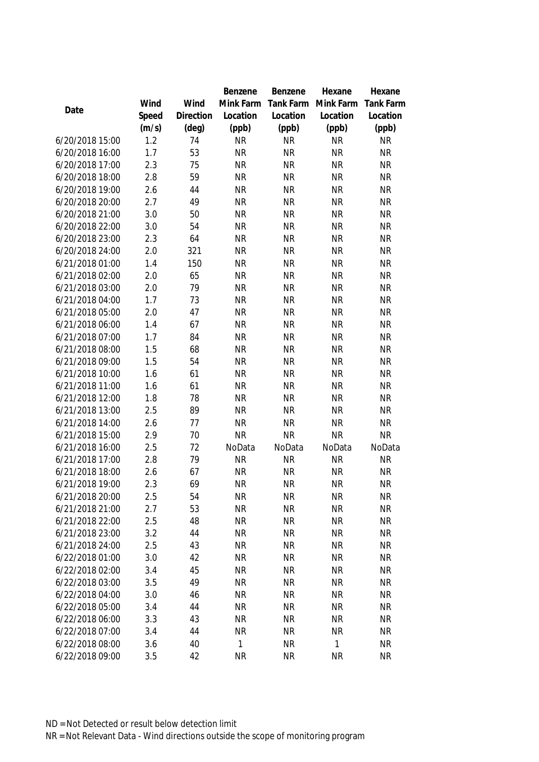|                 |       |           | Benzene   | Benzene   | Hexane    | Hexane           |
|-----------------|-------|-----------|-----------|-----------|-----------|------------------|
|                 | Wind  | Wind      | Mink Farm | Tank Farm | Mink Farm | <b>Tank Farm</b> |
| Date            | Speed | Direction | Location  | Location  | Location  | Location         |
|                 | (m/s) | (deg)     | (ppb)     | (ppb)     | (ppb)     | (ppb)            |
| 6/20/2018 15:00 | 1.2   | 74        | <b>NR</b> | <b>NR</b> | <b>NR</b> | <b>NR</b>        |
| 6/20/2018 16:00 | 1.7   | 53        | <b>NR</b> | <b>NR</b> | <b>NR</b> | <b>NR</b>        |
| 6/20/2018 17:00 | 2.3   | 75        | <b>NR</b> | <b>NR</b> | <b>NR</b> | <b>NR</b>        |
| 6/20/2018 18:00 | 2.8   | 59        | <b>NR</b> | <b>NR</b> | <b>NR</b> | <b>NR</b>        |
| 6/20/2018 19:00 | 2.6   | 44        | <b>NR</b> | <b>NR</b> | <b>NR</b> | <b>NR</b>        |
| 6/20/2018 20:00 | 2.7   | 49        | <b>NR</b> | <b>NR</b> | <b>NR</b> | <b>NR</b>        |
| 6/20/2018 21:00 | 3.0   | 50        | <b>NR</b> | <b>NR</b> | <b>NR</b> | <b>NR</b>        |
| 6/20/2018 22:00 | 3.0   | 54        | <b>NR</b> | <b>NR</b> | <b>NR</b> | <b>NR</b>        |
| 6/20/2018 23:00 | 2.3   | 64        | <b>NR</b> | <b>NR</b> | <b>NR</b> | <b>NR</b>        |
| 6/20/2018 24:00 | 2.0   | 321       | <b>NR</b> | <b>NR</b> | <b>NR</b> | <b>NR</b>        |
| 6/21/2018 01:00 | 1.4   | 150       | <b>NR</b> | <b>NR</b> | <b>NR</b> | <b>NR</b>        |
| 6/21/2018 02:00 | 2.0   | 65        | <b>NR</b> | <b>NR</b> | <b>NR</b> | <b>NR</b>        |
| 6/21/2018 03:00 | 2.0   | 79        | <b>NR</b> | <b>NR</b> | <b>NR</b> | <b>NR</b>        |
| 6/21/2018 04:00 | 1.7   | 73        | <b>NR</b> | <b>NR</b> | <b>NR</b> | <b>NR</b>        |
| 6/21/2018 05:00 | 2.0   | 47        | <b>NR</b> | <b>NR</b> | <b>NR</b> | <b>NR</b>        |
| 6/21/2018 06:00 | 1.4   | 67        | <b>NR</b> | <b>NR</b> | <b>NR</b> | <b>NR</b>        |
| 6/21/2018 07:00 | 1.7   | 84        | <b>NR</b> | <b>NR</b> | <b>NR</b> | <b>NR</b>        |
| 6/21/2018 08:00 | 1.5   | 68        | <b>NR</b> | <b>NR</b> | <b>NR</b> | <b>NR</b>        |
| 6/21/2018 09:00 | 1.5   | 54        | <b>NR</b> | <b>NR</b> | <b>NR</b> | <b>NR</b>        |
| 6/21/2018 10:00 | 1.6   | 61        | <b>NR</b> | <b>NR</b> | <b>NR</b> | <b>NR</b>        |
| 6/21/2018 11:00 | 1.6   | 61        | <b>NR</b> | <b>NR</b> | <b>NR</b> | <b>NR</b>        |
| 6/21/2018 12:00 | 1.8   | 78        | <b>NR</b> | <b>NR</b> | <b>NR</b> | <b>NR</b>        |
| 6/21/2018 13:00 | 2.5   | 89        | <b>NR</b> | <b>NR</b> | <b>NR</b> | <b>NR</b>        |
| 6/21/2018 14:00 | 2.6   | 77        | <b>NR</b> | <b>NR</b> | <b>NR</b> | <b>NR</b>        |
| 6/21/2018 15:00 | 2.9   | 70        | <b>NR</b> | <b>NR</b> | <b>NR</b> | <b>NR</b>        |
| 6/21/2018 16:00 | 2.5   | 72        | NoData    | NoData    | NoData    | NoData           |
| 6/21/2018 17:00 | 2.8   | 79        | <b>NR</b> | <b>NR</b> | <b>NR</b> | <b>NR</b>        |
| 6/21/2018 18:00 | 2.6   | 67        | <b>NR</b> | <b>NR</b> | <b>NR</b> | <b>NR</b>        |
| 6/21/2018 19:00 | 2.3   | 69        | <b>NR</b> | <b>NR</b> | <b>NR</b> | <b>NR</b>        |
| 6/21/2018 20:00 | 2.5   | 54        | <b>NR</b> | <b>NR</b> | <b>NR</b> | <b>NR</b>        |
| 6/21/2018 21:00 | 2.7   | 53        | <b>NR</b> | <b>NR</b> | <b>NR</b> | <b>NR</b>        |
| 6/21/2018 22:00 | 2.5   | 48        | <b>NR</b> | <b>NR</b> | <b>NR</b> | <b>NR</b>        |
| 6/21/2018 23:00 | 3.2   | 44        | <b>NR</b> | <b>NR</b> | <b>NR</b> | <b>NR</b>        |
| 6/21/2018 24:00 | 2.5   | 43        | <b>NR</b> | <b>NR</b> | <b>NR</b> | <b>NR</b>        |
| 6/22/2018 01:00 | 3.0   | 42        | <b>NR</b> | <b>NR</b> | <b>NR</b> | <b>NR</b>        |
| 6/22/2018 02:00 | 3.4   | 45        | <b>NR</b> | <b>NR</b> | <b>NR</b> | <b>NR</b>        |
| 6/22/2018 03:00 | 3.5   | 49        | <b>NR</b> | <b>NR</b> | <b>NR</b> | <b>NR</b>        |
| 6/22/2018 04:00 | 3.0   | 46        | <b>NR</b> | <b>NR</b> | <b>NR</b> | <b>NR</b>        |
| 6/22/2018 05:00 | 3.4   | 44        | <b>NR</b> | <b>NR</b> | <b>NR</b> | <b>NR</b>        |
| 6/22/2018 06:00 | 3.3   | 43        | <b>NR</b> | <b>NR</b> | <b>NR</b> | <b>NR</b>        |
| 6/22/2018 07:00 | 3.4   | 44        | <b>NR</b> | <b>NR</b> | <b>NR</b> | <b>NR</b>        |
| 6/22/2018 08:00 | 3.6   | 40        | 1         | <b>NR</b> | 1         | <b>NR</b>        |
| 6/22/2018 09:00 | 3.5   | 42        | <b>NR</b> | <b>NR</b> | <b>NR</b> | <b>NR</b>        |